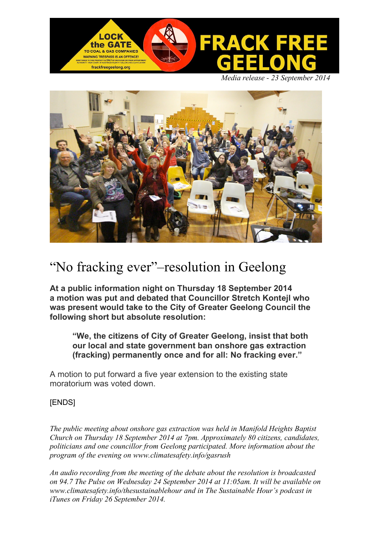

 *Media release - 23 September 2014*



# "No fracking ever"–resolution in Geelong

**At a public information night on Thursday 18 September 2014 a motion was put and debated that Councillor Stretch Kontejl who was present would take to the City of Greater Geelong Council the following short but absolute resolution:**

**"We, the citizens of City of Greater Geelong, insist that both our local and state government ban onshore gas extraction (fracking) permanently once and for all: No fracking ever."**

A motion to put forward a five year extension to the existing state moratorium was voted down.

# [ENDS]

*The public meeting about onshore gas extraction was held in Manifold Heights Baptist Church on Thursday 18 September 2014 at 7pm. Approximately 80 citizens, candidates, politicians and one councillor from Geelong participated. More information about the program of the evening on www.climatesafety.info/gasrush*

*An audio recording from the meeting of the debate about the resolution is broadcasted on 94.7 The Pulse on Wednesday 24 September 2014 at 11:05am. It will be available on www.climatesafety.info/thesustainablehour and in The Sustainable Hour's podcast in iTunes on Friday 26 September 2014.*